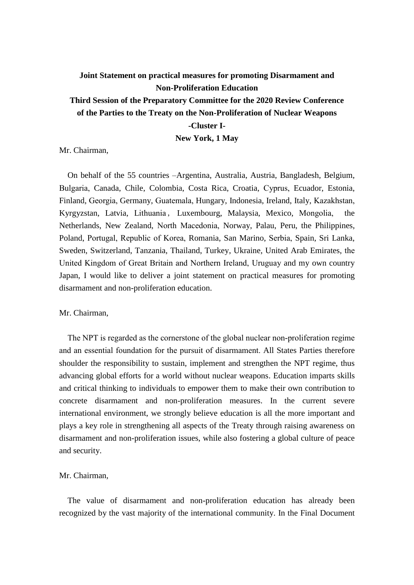# **Joint Statement on practical measures for promoting Disarmament and Non-Proliferation Education Third Session of the Preparatory Committee for the 2020 Review Conference of the Parties to the Treaty on the Non-Proliferation of Nuclear Weapons -Cluster I-**

**New York, 1 May**

Mr. Chairman,

On behalf of the 55 countries –Argentina, Australia, Austria, Bangladesh, Belgium, Bulgaria, Canada, Chile, Colombia, Costa Rica, Croatia, Cyprus, Ecuador, Estonia, Finland, Georgia, Germany, Guatemala, Hungary, Indonesia, Ireland, Italy, Kazakhstan, Kyrgyzstan, Latvia, Lithuania, Luxembourg, Malaysia, Mexico, Mongolia, the Netherlands, New Zealand, North Macedonia, Norway, Palau, Peru, the Philippines, Poland, Portugal, Republic of Korea, Romania, San Marino, Serbia, Spain, Sri Lanka, Sweden, Switzerland, Tanzania, Thailand, Turkey, Ukraine, United Arab Emirates, the United Kingdom of Great Britain and Northern Ireland, Uruguay and my own country Japan, I would like to deliver a joint statement on practical measures for promoting disarmament and non-proliferation education.

#### Mr. Chairman,

The NPT is regarded as the cornerstone of the global nuclear non-proliferation regime and an essential foundation for the pursuit of disarmament. All States Parties therefore shoulder the responsibility to sustain, implement and strengthen the NPT regime, thus advancing global efforts for a world without nuclear weapons. Education imparts skills and critical thinking to individuals to empower them to make their own contribution to concrete disarmament and non-proliferation measures. In the current severe international environment, we strongly believe education is all the more important and plays a key role in strengthening all aspects of the Treaty through raising awareness on disarmament and non-proliferation issues, while also fostering a global culture of peace and security.

# Mr. Chairman,

The value of disarmament and non-proliferation education has already been recognized by the vast majority of the international community. In the Final Document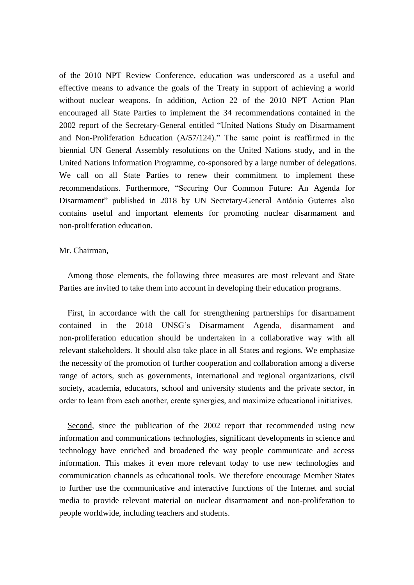of the 2010 NPT Review Conference, education was underscored as a useful and effective means to advance the goals of the Treaty in support of achieving a world without nuclear weapons. In addition, Action 22 of the 2010 NPT Action Plan encouraged all State Parties to implement the 34 recommendations contained in the 2002 report of the Secretary-General entitled "United Nations Study on Disarmament and Non-Proliferation Education (A/57/124)." The same point is reaffirmed in the biennial UN General Assembly resolutions on the United Nations study, and in the United Nations Information Programme, co-sponsored by a large number of delegations. We call on all State Parties to renew their commitment to implement these recommendations. Furthermore, "Securing Our Common Future: An Agenda for Disarmament" published in 2018 by UN Secretary-General António Guterres also contains useful and important elements for promoting nuclear disarmament and non-proliferation education.

# Mr. Chairman,

Among those elements, the following three measures are most relevant and State Parties are invited to take them into account in developing their education programs.

First, in accordance with the call for strengthening partnerships for disarmament contained in the 2018 UNSG's Disarmament Agenda, disarmament and non-proliferation education should be undertaken in a collaborative way with all relevant stakeholders. It should also take place in all States and regions. We emphasize the necessity of the promotion of further cooperation and collaboration among a diverse range of actors, such as governments, international and regional organizations, civil society, academia, educators, school and university students and the private sector, in order to learn from each another, create synergies, and maximize educational initiatives.

Second, since the publication of the 2002 report that recommended using new information and communications technologies, significant developments in science and technology have enriched and broadened the way people communicate and access information. This makes it even more relevant today to use new technologies and communication channels as educational tools. We therefore encourage Member States to further use the communicative and interactive functions of the Internet and social media to provide relevant material on nuclear disarmament and non-proliferation to people worldwide, including teachers and students.